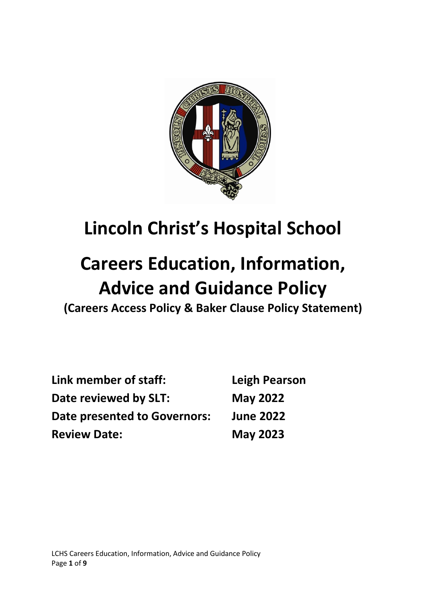

# **Lincoln Christ's Hospital School**

# **Careers Education, Information, Advice and Guidance Policy**

**(Careers Access Policy & Baker Clause Policy Statement)**

| Link member of staff:<br>Date reviewed by SLT:<br><b>Date presented to Governors:</b> | <b>Leigh Pearson</b><br><b>May 2022</b><br><b>June 2022</b> |                     |                 |
|---------------------------------------------------------------------------------------|-------------------------------------------------------------|---------------------|-----------------|
|                                                                                       |                                                             | <b>Review Date:</b> | <b>May 2023</b> |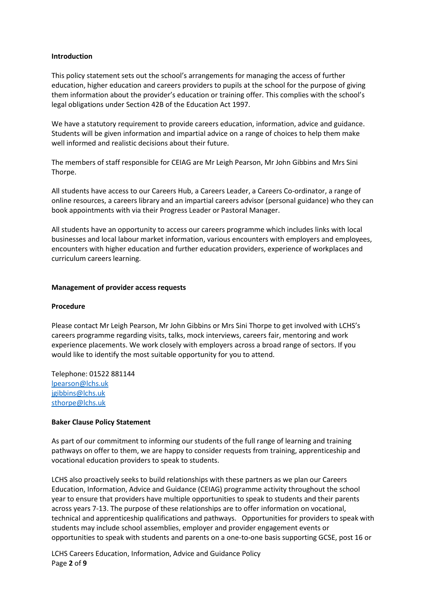#### **Introduction**

This policy statement sets out the school's arrangements for managing the access of further education, higher education and careers providers to pupils at the school for the purpose of giving them information about the provider's education or training offer. This complies with the school's legal obligations under Section 42B of the Education Act 1997.

We have a statutory requirement to provide careers education, information, advice and guidance. Students will be given information and impartial advice on a range of choices to help them make well informed and realistic decisions about their future.

The members of staff responsible for CEIAG are Mr Leigh Pearson, Mr John Gibbins and Mrs Sini Thorpe.

All students have access to our Careers Hub, a Careers Leader, a Careers Co-ordinator, a range of online resources, a careers library and an impartial careers advisor (personal guidance) who they can book appointments with via their Progress Leader or Pastoral Manager.

All students have an opportunity to access our careers programme which includes links with local businesses and local labour market information, various encounters with employers and employees, encounters with higher education and further education providers, experience of workplaces and curriculum careers learning.

#### **Management of provider access requests**

#### **Procedure**

Please contact Mr Leigh Pearson, Mr John Gibbins or Mrs Sini Thorpe to get involved with LCHS's careers programme regarding visits, talks, mock interviews, careers fair, mentoring and work experience placements. We work closely with employers across a broad range of sectors. If you would like to identify the most suitable opportunity for you to attend.

Telephone: 01522 881144 [lpearson@lchs.uk](mailto:lpearson@lchs.uk) jgibbins@lchs.uk [sthorpe@lchs.uk](mailto:sthorpe@lchs.uk)

#### **Baker Clause Policy Statement**

As part of our commitment to informing our students of the full range of learning and training pathways on offer to them, we are happy to consider requests from training, apprenticeship and vocational education providers to speak to students.

LCHS also proactively seeks to build relationships with these partners as we plan our Careers Education, Information, Advice and Guidance (CEIAG) programme activity throughout the school year to ensure that providers have multiple opportunities to speak to students and their parents across years 7-13. The purpose of these relationships are to offer information on vocational, technical and apprenticeship qualifications and pathways. Opportunities for providers to speak with students may include school assemblies, employer and provider engagement events or opportunities to speak with students and parents on a one-to-one basis supporting GCSE, post 16 or

LCHS Careers Education, Information, Advice and Guidance Policy Page **2** of **9**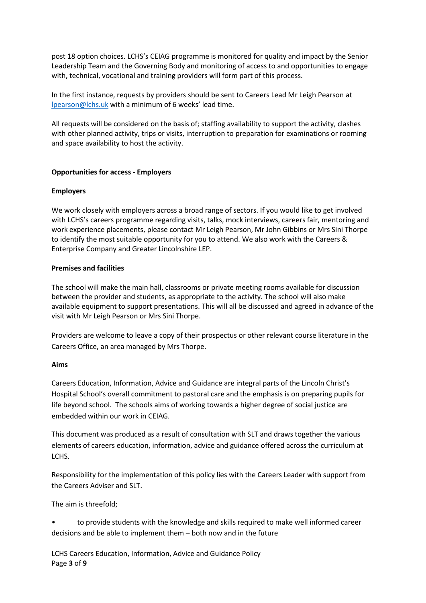post 18 option choices. LCHS's CEIAG programme is monitored for quality and impact by the Senior Leadership Team and the Governing Body and monitoring of access to and opportunities to engage with, technical, vocational and training providers will form part of this process.

In the first instance, requests by providers should be sent to Careers Lead Mr Leigh Pearson at [lpearson@lchs.uk](mailto:lpearson@lchs.uk) with a minimum of 6 weeks' lead time.

All requests will be considered on the basis of; staffing availability to support the activity, clashes with other planned activity, trips or visits, interruption to preparation for examinations or rooming and space availability to host the activity.

# **Opportunities for access - Employers**

# **Employers**

We work closely with employers across a broad range of sectors. If you would like to get involved with LCHS's careers programme regarding visits, talks, mock interviews, careers fair, mentoring and work experience placements, please contact Mr Leigh Pearson, Mr John Gibbins or Mrs Sini Thorpe to identify the most suitable opportunity for you to attend. We also work with the Careers & Enterprise Company and Greater Lincolnshire LEP.

# **Premises and facilities**

The school will make the main hall, classrooms or private meeting rooms available for discussion between the provider and students, as appropriate to the activity. The school will also make available equipment to support presentations. This will all be discussed and agreed in advance of the visit with Mr Leigh Pearson or Mrs Sini Thorpe.

Providers are welcome to leave a copy of their prospectus or other relevant course literature in the Careers Office, an area managed by Mrs Thorpe.

#### **Aims**

Careers Education, Information, Advice and Guidance are integral parts of the Lincoln Christ's Hospital School's overall commitment to pastoral care and the emphasis is on preparing pupils for life beyond school. The schools aims of working towards a higher degree of social justice are embedded within our work in CEIAG.

This document was produced as a result of consultation with SLT and draws together the various elements of careers education, information, advice and guidance offered across the curriculum at LCHS.

Responsibility for the implementation of this policy lies with the Careers Leader with support from the Careers Adviser and SLT.

The aim is threefold;

• to provide students with the knowledge and skills required to make well informed career decisions and be able to implement them – both now and in the future

LCHS Careers Education, Information, Advice and Guidance Policy Page **3** of **9**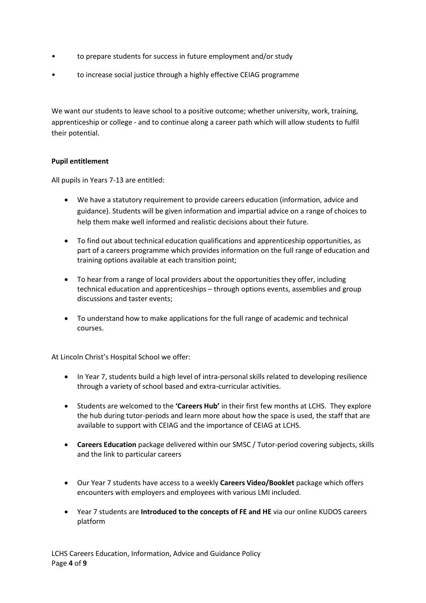- to prepare students for success in future employment and/or study
- to increase social justice through a highly effective CEIAG programme

We want our students to leave school to a positive outcome; whether university, work, training, apprenticeship or college - and to continue along a career path which will allow students to fulfil their potential.

# **Pupil entitlement**

All pupils in Years 7-13 are entitled:

- We have a statutory requirement to provide careers education (information, advice and guidance). Students will be given information and impartial advice on a range of choices to help them make well informed and realistic decisions about their future.
- To find out about technical education qualifications and apprenticeship opportunities, as part of a careers programme which provides information on the full range of education and training options available at each transition point;
- To hear from a range of local providers about the opportunities they offer, including technical education and apprenticeships – through options events, assemblies and group discussions and taster events;
- To understand how to make applications for the full range of academic and technical courses.

At Lincoln Christ's Hospital School we offer:

- In Year 7, students build a high level of intra-personal skills related to developing resilience through a variety of school based and extra-curricular activities.
- Students are welcomed to the **'Careers Hub'** in their first few months at LCHS. They explore the hub during tutor-periods and learn more about how the space is used, the staff that are available to support with CEIAG and the importance of CEIAG at LCHS.
- **Careers Education** package delivered within our SMSC / Tutor-period covering subjects, skills and the link to particular careers
- Our Year 7 students have access to a weekly **Careers Video/Booklet** package which offers encounters with employers and employees with various LMI included.
- Year 7 students are **Introduced to the concepts of FE and HE** via our online KUDOS careers platform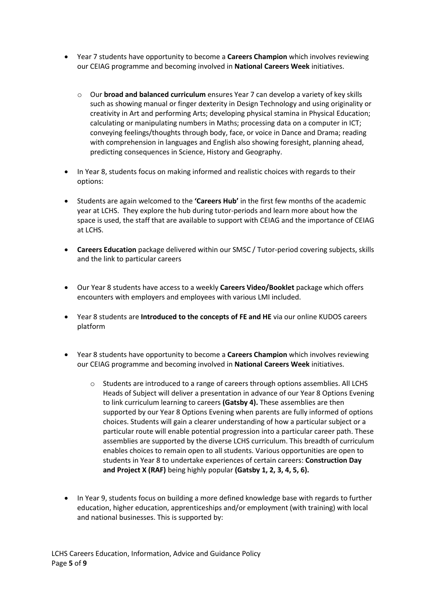- Year 7 students have opportunity to become a **Careers Champion** which involves reviewing our CEIAG programme and becoming involved in **National Careers Week** initiatives.
	- o Our **broad and balanced curriculum** ensures Year 7 can develop a variety of key skills such as showing manual or finger dexterity in Design Technology and using originality or creativity in Art and performing Arts; developing physical stamina in Physical Education; calculating or manipulating numbers in Maths; processing data on a computer in ICT; conveying feelings/thoughts through body, face, or voice in Dance and Drama; reading with comprehension in languages and English also showing foresight, planning ahead, predicting consequences in Science, History and Geography.
- In Year 8, students focus on making informed and realistic choices with regards to their options:
- Students are again welcomed to the **'Careers Hub'** in the first few months of the academic year at LCHS. They explore the hub during tutor-periods and learn more about how the space is used, the staff that are available to support with CEIAG and the importance of CEIAG at LCHS.
- **Careers Education** package delivered within our SMSC / Tutor-period covering subjects, skills and the link to particular careers
- Our Year 8 students have access to a weekly **Careers Video/Booklet** package which offers encounters with employers and employees with various LMI included.
- Year 8 students are **Introduced to the concepts of FE and HE** via our online KUDOS careers platform
- Year 8 students have opportunity to become a **Careers Champion** which involves reviewing our CEIAG programme and becoming involved in **National Careers Week** initiatives.
	- $\circ$  Students are introduced to a range of careers through options assemblies. All LCHS Heads of Subject will deliver a presentation in advance of our Year 8 Options Evening to link curriculum learning to careers **(Gatsby 4).** These assemblies are then supported by our Year 8 Options Evening when parents are fully informed of options choices. Students will gain a clearer understanding of how a particular subject or a particular route will enable potential progression into a particular career path. These assemblies are supported by the diverse LCHS curriculum. This breadth of curriculum enables choices to remain open to all students. Various opportunities are open to students in Year 8 to undertake experiences of certain careers: **Construction Day and Project X (RAF)** being highly popular **(Gatsby 1, 2, 3, 4, 5, 6).**
- In Year 9, students focus on building a more defined knowledge base with regards to further education, higher education, apprenticeships and/or employment (with training) with local and national businesses. This is supported by: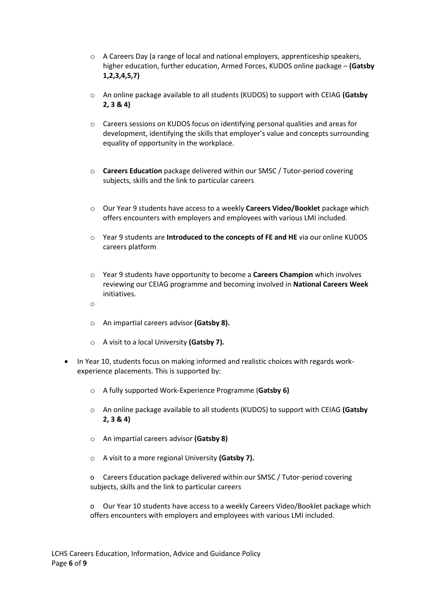- o A Careers Day (a range of local and national employers, apprenticeship speakers, higher education, further education, Armed Forces, KUDOS online package – **(Gatsby 1,2,3,4,5,7)**
- o An online package available to all students (KUDOS) to support with CEIAG **(Gatsby 2, 3 & 4)**
- o Careers sessions on KUDOS focus on identifying personal qualities and areas for development, identifying the skills that employer's value and concepts surrounding equality of opportunity in the workplace.
- o **Careers Education** package delivered within our SMSC / Tutor-period covering subjects, skills and the link to particular careers
- o Our Year 9 students have access to a weekly **Careers Video/Booklet** package which offers encounters with employers and employees with various LMI included.
- o Year 9 students are **Introduced to the concepts of FE and HE** via our online KUDOS careers platform
- o Year 9 students have opportunity to become a **Careers Champion** which involves reviewing our CEIAG programme and becoming involved in **National Careers Week** initiatives.
- o
- o An impartial careers advisor **(Gatsby 8).**
- o A visit to a local University **(Gatsby 7).**
- In Year 10, students focus on making informed and realistic choices with regards workexperience placements. This is supported by:
	- o A fully supported Work-Experience Programme (**Gatsby 6)**
	- o An online package available to all students (KUDOS) to support with CEIAG **(Gatsby 2, 3 & 4)**
	- o An impartial careers advisor **(Gatsby 8)**
	- o A visit to a more regional University **(Gatsby 7).**
	- o Careers Education package delivered within our SMSC / Tutor-period covering subjects, skills and the link to particular careers

o Our Year 10 students have access to a weekly Careers Video/Booklet package which offers encounters with employers and employees with various LMI included.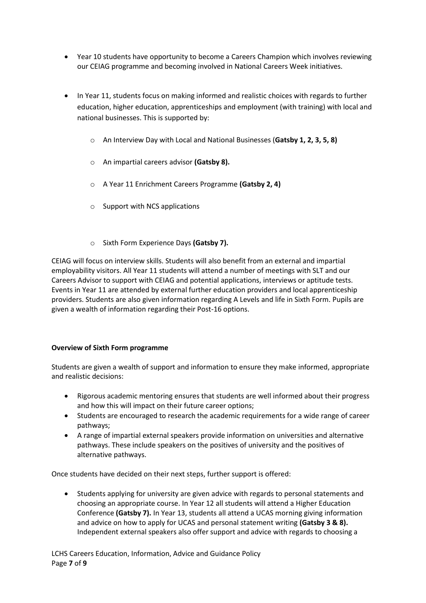- Year 10 students have opportunity to become a Careers Champion which involves reviewing our CEIAG programme and becoming involved in National Careers Week initiatives.
- In Year 11, students focus on making informed and realistic choices with regards to further education, higher education, apprenticeships and employment (with training) with local and national businesses. This is supported by:
	- o An Interview Day with Local and National Businesses (**Gatsby 1, 2, 3, 5, 8)**
	- o An impartial careers advisor **(Gatsby 8).**
	- o A Year 11 Enrichment Careers Programme **(Gatsby 2, 4)**
	- o Support with NCS applications
	- o Sixth Form Experience Days **(Gatsby 7).**

CEIAG will focus on interview skills. Students will also benefit from an external and impartial employability visitors. All Year 11 students will attend a number of meetings with SLT and our Careers Advisor to support with CEIAG and potential applications, interviews or aptitude tests. Events in Year 11 are attended by external further education providers and local apprenticeship providers. Students are also given information regarding A Levels and life in Sixth Form. Pupils are given a wealth of information regarding their Post-16 options.

# **Overview of Sixth Form programme**

Students are given a wealth of support and information to ensure they make informed, appropriate and realistic decisions:

- Rigorous academic mentoring ensures that students are well informed about their progress and how this will impact on their future career options;
- Students are encouraged to research the academic requirements for a wide range of career pathways;
- A range of impartial external speakers provide information on universities and alternative pathways. These include speakers on the positives of university and the positives of alternative pathways.

Once students have decided on their next steps, further support is offered:

 Students applying for university are given advice with regards to personal statements and choosing an appropriate course. In Year 12 all students will attend a Higher Education Conference **(Gatsby 7).** In Year 13, students all attend a UCAS morning giving information and advice on how to apply for UCAS and personal statement writing **(Gatsby 3 & 8).**  Independent external speakers also offer support and advice with regards to choosing a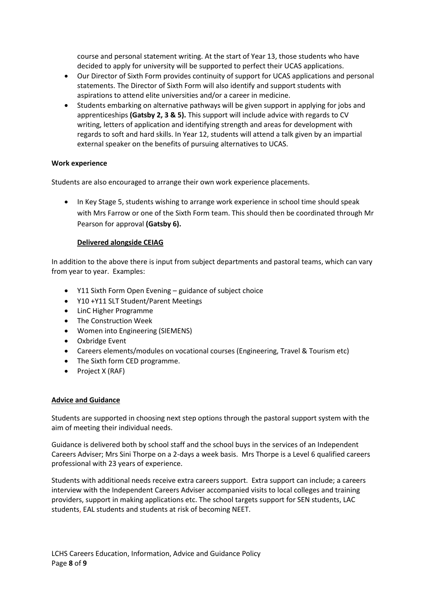course and personal statement writing. At the start of Year 13, those students who have decided to apply for university will be supported to perfect their UCAS applications.

- Our Director of Sixth Form provides continuity of support for UCAS applications and personal statements. The Director of Sixth Form will also identify and support students with aspirations to attend elite universities and/or a career in medicine.
- Students embarking on alternative pathways will be given support in applying for jobs and apprenticeships **(Gatsby 2, 3 & 5).** This support will include advice with regards to CV writing, letters of application and identifying strength and areas for development with regards to soft and hard skills. In Year 12, students will attend a talk given by an impartial external speaker on the benefits of pursuing alternatives to UCAS.

# **Work experience**

Students are also encouraged to arrange their own work experience placements.

• In Key Stage 5, students wishing to arrange work experience in school time should speak with Mrs Farrow or one of the Sixth Form team. This should then be coordinated through Mr Pearson for approval **(Gatsby 6).**

# **Delivered alongside CEIAG**

In addition to the above there is input from subject departments and pastoral teams, which can vary from year to year. Examples:

- Y11 Sixth Form Open Evening guidance of subject choice
- Y10 +Y11 SLT Student/Parent Meetings
- LinC Higher Programme
- The Construction Week
- Women into Engineering (SIEMENS)
- Oxbridge Event
- Careers elements/modules on vocational courses (Engineering, Travel & Tourism etc)
- The Sixth form CED programme.
- $\bullet$  Project X (RAF)

#### **Advice and Guidance**

Students are supported in choosing next step options through the pastoral support system with the aim of meeting their individual needs.

Guidance is delivered both by school staff and the school buys in the services of an Independent Careers Adviser; Mrs Sini Thorpe on a 2-days a week basis. Mrs Thorpe is a Level 6 qualified careers professional with 23 years of experience.

Students with additional needs receive extra careers support. Extra support can include; a careers interview with the Independent Careers Adviser accompanied visits to local colleges and training providers, support in making applications etc. The school targets support for SEN students, LAC students, EAL students and students at risk of becoming NEET.